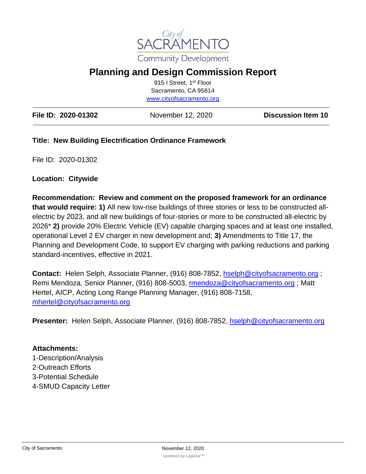

# **Planning and Design Commission Report**

915 I Street, 1st Floor Sacramento, CA 95814 [www.cityofsacramento.org](http://www.cityofsacramento.org/)

| File ID: 2020-01302 | November 12, 2020 | <b>Discussion Item 10</b> |
|---------------------|-------------------|---------------------------|
|---------------------|-------------------|---------------------------|

### **Title: New Building Electrification Ordinance Framework**

File ID: 2020-01302

#### **Location: Citywide**

**Recommendation: Review and comment on the proposed framework for an ordinance that would require: 1)** All new low-rise buildings of three stories or less to be constructed allelectric by 2023, and all new buildings of four-stories or more to be constructed all-electric by 2026\* **2)** provide 20% Electric Vehicle (EV) capable charging spaces and at least one installed, operational Level 2 EV charger in new development and; **3)** Amendments to Title 17, the Planning and Development Code, to support EV charging with parking reductions and parking standard-incentives, effective in 2021.

**Contact:** Helen Selph, Associate Planner, (916) 808-7852, [hselph@cityofsacramento.org](mailto:hselph@cityofsacramento.org) ; Remi Mendoza, Senior Planner, (916) 808-5003, [rmendoza@cityofsacramento.org](mailto:rmendoza@cityofsacramento.org) ; Matt Hertel, AICP, Acting Long Range Planning Manager, (916) 808-7158, [mhertel@cityofsacramento.org](mailto:mhertel@cityofsacramento.org) 

**Presenter:** Helen Selph, Associate Planner, (916) 808-7852, [hselph@cityofsacramento.org](mailto:hselph@cityofsacramento.org)

#### **Attachments:**

1-Description/Analysis 2-Outreach Efforts 3-Potential Schedule 4-SMUD Capacity Letter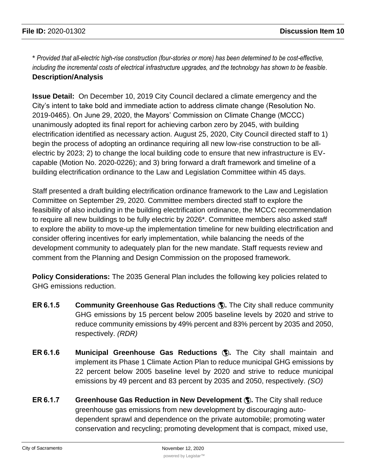\* *Provided that all-electric high-rise construction (four-stories or more) has been determined to be cost-effective, including the incremental costs of electrical infrastructure upgrades, and the technology has shown to be feasible.*  **Description/Analysis**

**Issue Detail:** On December 10, 2019 City Council declared a climate emergency and the City's intent to take bold and immediate action to address climate change (Resolution No. 2019-0465). On June 29, 2020, the Mayors' Commission on Climate Change (MCCC) unanimously adopted its final report for achieving carbon zero by 2045, with building electrification identified as necessary action. August 25, 2020, City Council directed staff to 1) begin the process of adopting an ordinance requiring all new low-rise construction to be allelectric by 2023; 2) to change the local building code to ensure that new infrastructure is EVcapable (Motion No. 2020-0226); and 3) bring forward a draft framework and timeline of a building electrification ordinance to the Law and Legislation Committee within 45 days.

Staff presented a draft building electrification ordinance framework to the Law and Legislation Committee on September 29, 2020. Committee members directed staff to explore the feasibility of also including in the building electrification ordinance, the MCCC recommendation to require all new buildings to be fully electric by 2026\*. Committee members also asked staff to explore the ability to move-up the implementation timeline for new building electrification and consider offering incentives for early implementation, while balancing the needs of the development community to adequately plan for the new mandate. Staff requests review and comment from the Planning and Design Commission on the proposed framework.

**Policy Considerations:** The 2035 General Plan includes the following key policies related to GHG emissions reduction.

- **ER 6.1.5 Community Greenhouse Gas Reductions .** The City shall reduce community GHG emissions by 15 percent below 2005 baseline levels by 2020 and strive to reduce community emissions by 49% percent and 83% percent by 2035 and 2050, respectively. *(RDR)*
- **ER 6.1.6 Municipal Greenhouse Gas Reductions .** The City shall maintain and implement its Phase 1 Climate Action Plan to reduce municipal GHG emissions by 22 percent below 2005 baseline level by 2020 and strive to reduce municipal emissions by 49 percent and 83 percent by 2035 and 2050, respectively. *(SO)*
- **ER 6.1.7 Greenhouse Gas Reduction in New Development .** The City shall reduce greenhouse gas emissions from new development by discouraging autodependent sprawl and dependence on the private automobile; promoting water conservation and recycling; promoting development that is compact, mixed use,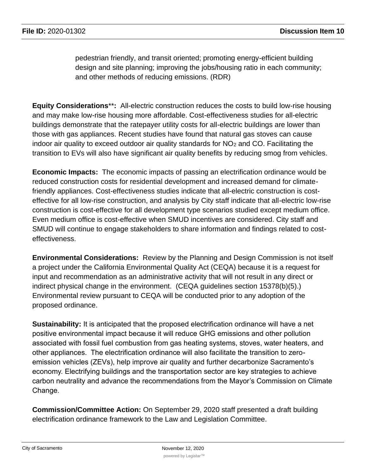pedestrian friendly, and transit oriented; promoting energy-efficient building design and site planning; improving the jobs/housing ratio in each community; and other methods of reducing emissions. (RDR)

**Equity Considerations**\*\***:** All-electric construction reduces the costs to build low-rise housing and may make low-rise housing more affordable. Cost-effectiveness studies for all-electric buildings demonstrate that the ratepayer utility costs for all-electric buildings are lower than those with gas appliances. Recent studies have found that natural gas stoves can cause indoor air quality to exceed outdoor air quality standards for  $NO<sub>2</sub>$  and CO. Facilitating the transition to EVs will also have significant air quality benefits by reducing smog from vehicles.

**Economic Impacts:** The economic impacts of passing an electrification ordinance would be reduced construction costs for residential development and increased demand for climatefriendly appliances. Cost-effectiveness studies indicate that all-electric construction is costeffective for all low-rise construction, and analysis by City staff indicate that all-electric low-rise construction is cost-effective for all development type scenarios studied except medium office. Even medium office is cost-effective when SMUD incentives are considered. City staff and SMUD will continue to engage stakeholders to share information and findings related to costeffectiveness.

**Environmental Considerations:** Review by the Planning and Design Commission is not itself a project under the California Environmental Quality Act (CEQA) because it is a request for input and recommendation as an administrative activity that will not result in any direct or indirect physical change in the environment. (CEQA guidelines section 15378(b)(5).) Environmental review pursuant to CEQA will be conducted prior to any adoption of the proposed ordinance.

**Sustainability:** It is anticipated that the proposed electrification ordinance will have a net positive environmental impact because it will reduce GHG emissions and other pollution associated with fossil fuel combustion from gas heating systems, stoves, water heaters, and other appliances. The electrification ordinance will also facilitate the transition to zeroemission vehicles (ZEVs), help improve air quality and further decarbonize Sacramento's economy. Electrifying buildings and the transportation sector are key strategies to achieve carbon neutrality and advance the recommendations from the Mayor's Commission on Climate Change.

**Commission/Committee Action:** On September 29, 2020 staff presented a draft building electrification ordinance framework to the Law and Legislation Committee.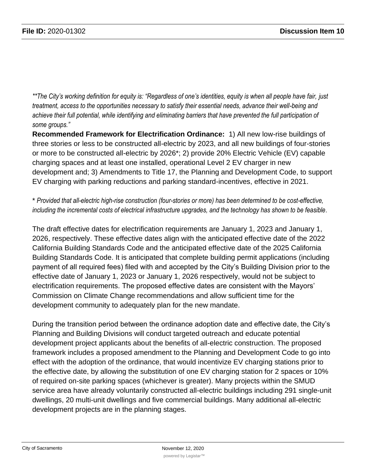\*\*The City's working definition for equity is: "Regardless of one's identities, equity is when all people have fair, just *treatment, access to the opportunities necessary to satisfy their essential needs, advance their well-being and achieve their full potential, while identifying and eliminating barriers that have prevented the full participation of some groups."*

**Recommended Framework for Electrification Ordinance:** 1) All new low-rise buildings of three stories or less to be constructed all-electric by 2023, and all new buildings of four-stories or more to be constructed all-electric by 2026\*; 2) provide 20% Electric Vehicle (EV) capable charging spaces and at least one installed, operational Level 2 EV charger in new development and; 3) Amendments to Title 17, the Planning and Development Code, to support EV charging with parking reductions and parking standard-incentives, effective in 2021.

\* *Provided that all-electric high-rise construction (four-stories or more) has been determined to be cost-effective, including the incremental costs of electrical infrastructure upgrades, and the technology has shown to be feasible.* 

The draft effective dates for electrification requirements are January 1, 2023 and January 1, 2026, respectively. These effective dates align with the anticipated effective date of the 2022 California Building Standards Code and the anticipated effective date of the 2025 California Building Standards Code. It is anticipated that complete building permit applications (including payment of all required fees) filed with and accepted by the City's Building Division prior to the effective date of January 1, 2023 or January 1, 2026 respectively, would not be subject to electrification requirements. The proposed effective dates are consistent with the Mayors' Commission on Climate Change recommendations and allow sufficient time for the development community to adequately plan for the new mandate.

During the transition period between the ordinance adoption date and effective date, the City's Planning and Building Divisions will conduct targeted outreach and educate potential development project applicants about the benefits of all-electric construction. The proposed framework includes a proposed amendment to the Planning and Development Code to go into effect with the adoption of the ordinance, that would incentivize EV charging stations prior to the effective date, by allowing the substitution of one EV charging station for 2 spaces or 10% of required on-site parking spaces (whichever is greater). Many projects within the SMUD service area have already voluntarily constructed all-electric buildings including 291 single-unit dwellings, 20 multi-unit dwellings and five commercial buildings. Many additional all-electric development projects are in the planning stages.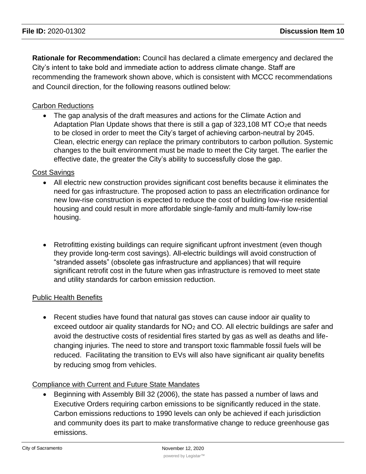**Rationale for Recommendation:** Council has declared a climate emergency and declared the City's intent to take bold and immediate action to address climate change. Staff are recommending the framework shown above, which is consistent with MCCC recommendations and Council direction, for the following reasons outlined below:

### Carbon Reductions

• The gap analysis of the draft measures and actions for the Climate Action and Adaptation Plan Update shows that there is still a gap of  $323,108$  MT CO<sub>2</sub>e that needs to be closed in order to meet the City's target of achieving carbon-neutral by 2045. Clean, electric energy can replace the primary contributors to carbon pollution. Systemic changes to the built environment must be made to meet the City target. The earlier the effective date, the greater the City's ability to successfully close the gap.

### Cost Savings

- All electric new construction provides significant cost benefits because it eliminates the need for gas infrastructure. The proposed action to pass an electrification ordinance for new low-rise construction is expected to reduce the cost of building low-rise residential housing and could result in more affordable single-family and multi-family low-rise housing.
- Retrofitting existing buildings can require significant upfront investment (even though they provide long-term cost savings). All-electric buildings will avoid construction of "stranded assets" (obsolete gas infrastructure and appliances) that will require significant retrofit cost in the future when gas infrastructure is removed to meet state and utility standards for carbon emission reduction.

### Public Health Benefits

• Recent studies have found that natural gas stoves can cause indoor air quality to exceed outdoor air quality standards for  $NO<sub>2</sub>$  and CO. All electric buildings are safer and avoid the destructive costs of residential fires started by gas as well as deaths and lifechanging injuries. The need to store and transport toxic flammable fossil fuels will be reduced. Facilitating the transition to EVs will also have significant air quality benefits by reducing smog from vehicles.

### Compliance with Current and Future State Mandates

• Beginning with Assembly Bill 32 (2006), the state has passed a number of laws and Executive Orders requiring carbon emissions to be significantly reduced in the state. Carbon emissions reductions to 1990 levels can only be achieved if each jurisdiction and community does its part to make transformative change to reduce greenhouse gas emissions.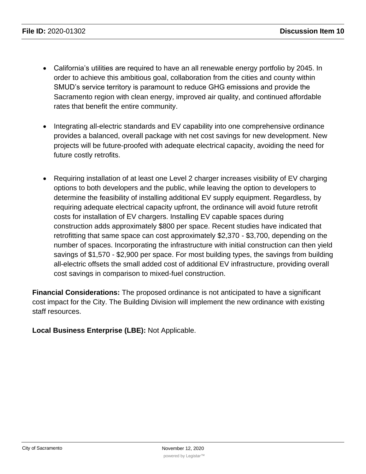- California's utilities are required to have an all renewable energy portfolio by 2045. In order to achieve this ambitious goal, collaboration from the cities and county within SMUD's service territory is paramount to reduce GHG emissions and provide the Sacramento region with clean energy, improved air quality, and continued affordable rates that benefit the entire community.
- Integrating all-electric standards and EV capability into one comprehensive ordinance provides a balanced, overall package with net cost savings for new development. New projects will be future-proofed with adequate electrical capacity, avoiding the need for future costly retrofits.
- Requiring installation of at least one Level 2 charger increases visibility of EV charging options to both developers and the public, while leaving the option to developers to determine the feasibility of installing additional EV supply equipment. Regardless, by requiring adequate electrical capacity upfront, the ordinance will avoid future retrofit costs for installation of EV chargers. Installing EV capable spaces during construction adds approximately \$800 per space. Recent studies have indicated that retrofitting that same space can cost approximately \$2,370 - \$3,700, depending on the number of spaces. Incorporating the infrastructure with initial construction can then yield savings of \$1,570 - \$2,900 per space. For most building types, the savings from building all-electric offsets the small added cost of additional EV infrastructure, providing overall cost savings in comparison to mixed-fuel construction.

**Financial Considerations:** The proposed ordinance is not anticipated to have a significant cost impact for the City. The Building Division will implement the new ordinance with existing staff resources.

**Local Business Enterprise (LBE):** Not Applicable.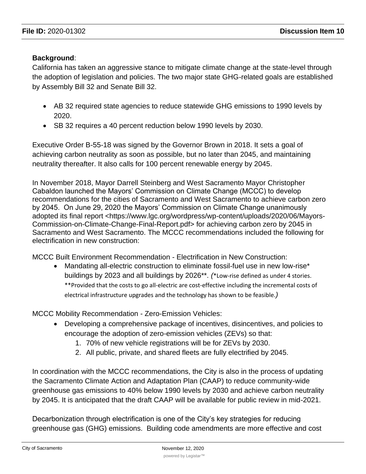### **Background**:

California has taken an aggressive stance to mitigate climate change at the state-level through the adoption of legislation and policies. The two major state GHG-related goals are established by Assembly Bill 32 and Senate Bill 32.

- AB 32 required state agencies to reduce statewide GHG emissions to 1990 levels by 2020.
- SB 32 requires a 40 percent reduction below 1990 levels by 2030.

Executive Order B-55-18 was signed by the Governor Brown in 2018. It sets a goal of achieving carbon neutrality as soon as possible, but no later than 2045, and maintaining neutrality thereafter. It also calls for 100 percent renewable energy by 2045.

In November 2018, Mayor Darrell Steinberg and West Sacramento Mayor Christopher Cabaldon launched the Mayors' Commission on Climate Change (MCCC) to develop recommendations for the cities of Sacramento and West Sacramento to achieve carbon zero by 2045. On June 29, 2020 the Mayors' Commission on Climate Change unanimously adopted its final report <https://www.lgc.org/wordpress/wp-content/uploads/2020/06/Mayors-Commission-on-Climate-Change-Final-Report.pdf> for achieving carbon zero by 2045 in Sacramento and West Sacramento. The MCCC recommendations included the following for electrification in new construction:

MCCC Built Environment Recommendation - Electrification in New Construction:

• Mandating all-electric construction to eliminate fossil-fuel use in new low-rise\* buildings by 2023 and all buildings by 2026\*\*. *(*\*Low-rise defined as under 4 stories. \*\*Provided that the costs to go all-electric are cost-effective including the incremental costs of electrical infrastructure upgrades and the technology has shown to be feasible.*)*

MCCC Mobility Recommendation - Zero-Emission Vehicles:

- Developing a comprehensive package of incentives, disincentives, and policies to encourage the adoption of zero-emission vehicles (ZEVs) so that:
	- 1. 70% of new vehicle registrations will be for ZEVs by 2030.
	- 2. All public, private, and shared fleets are fully electrified by 2045.

In coordination with the MCCC recommendations, the City is also in the process of updating the Sacramento Climate Action and Adaptation Plan (CAAP) to reduce community-wide greenhouse gas emissions to 40% below 1990 levels by 2030 and achieve carbon neutrality by 2045. It is anticipated that the draft CAAP will be available for public review in mid-2021.

Decarbonization through electrification is one of the City's key strategies for reducing greenhouse gas (GHG) emissions. Building code amendments are more effective and cost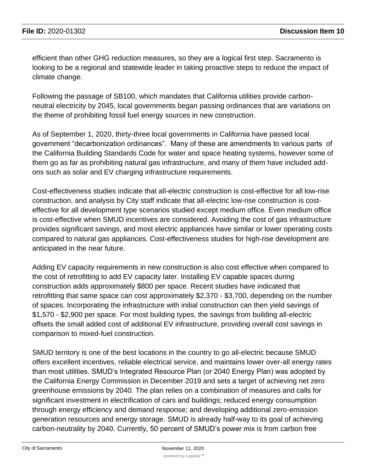efficient than other GHG reduction measures, so they are a logical first step. Sacramento is looking to be a regional and statewide leader in taking proactive steps to reduce the impact of climate change.

Following the passage of SB100, which mandates that California utilities provide carbonneutral electricity by 2045, local governments began passing ordinances that are variations on the theme of prohibiting fossil fuel energy sources in new construction.

As of September 1, 2020, thirty-three local governments in California have passed local government "decarbonization ordinances". Many of these are amendments to various parts of the California Building Standards Code for water and space heating systems, however some of them go as far as prohibiting natural gas infrastructure, and many of them have included addons such as solar and EV charging infrastructure requirements.

Cost-effectiveness studies indicate that all-electric construction is cost-effective for all low-rise construction, and analysis by City staff indicate that all-electric low-rise construction is costeffective for all development type scenarios studied except medium office. Even medium office is cost-effective when SMUD incentives are considered. Avoiding the cost of gas infrastructure provides significant savings, and most electric appliances have similar or lower operating costs compared to natural gas appliances. Cost-effectiveness studies for high-rise development are anticipated in the near future.

Adding EV capacity requirements in new construction is also cost effective when compared to the cost of retrofitting to add EV capacity later. Installing EV capable spaces during construction adds approximately \$800 per space. Recent studies have indicated that retrofitting that same space can cost approximately \$2,370 - \$3,700, depending on the number of spaces. Incorporating the infrastructure with initial construction can then yield savings of \$1,570 - \$2,900 per space. For most building types, the savings from building all-electric offsets the small added cost of additional EV infrastructure, providing overall cost savings in comparison to mixed-fuel construction.

SMUD territory is one of the best locations in the country to go all-electric because SMUD offers excellent incentives, reliable electrical service, and maintains lower over-all energy rates than most utilities. SMUD's Integrated Resource Plan (or 2040 Energy Plan) was adopted by the California Energy Commission in December 2019 and sets a target of achieving net zero greenhouse emissions by 2040. The plan relies on a combination of measures and calls for significant investment in electrification of cars and buildings; reduced energy consumption through energy efficiency and demand response; and developing additional zero-emission generation resources and energy storage. SMUD is already half-way to its goal of achieving carbon-neutrality by 2040. Currently, 50 percent of SMUD's power mix is from carbon free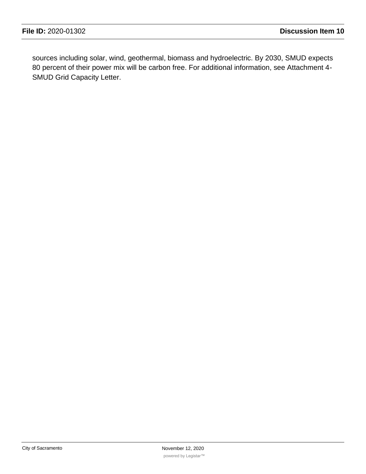sources including solar, wind, geothermal, biomass and hydroelectric. By 2030, SMUD expects 80 percent of their power mix will be carbon free. For additional information, see Attachment 4- SMUD Grid Capacity Letter.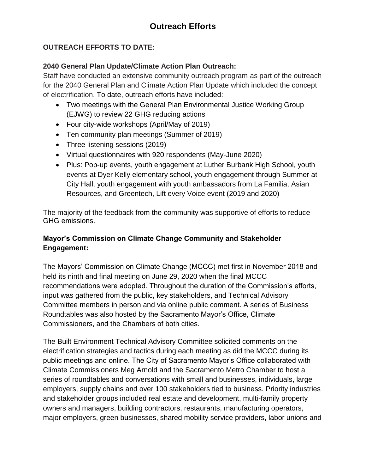# **OUTREACH EFFORTS TO DATE:**

## **2040 General Plan Update/Climate Action Plan Outreach:**

Staff have conducted an extensive community outreach program as part of the outreach for the 2040 General Plan and Climate Action Plan Update which included the concept of electrification. To date, outreach efforts have included:

- Two meetings with the General Plan Environmental Justice Working Group (EJWG) to review 22 GHG reducing actions
- Four city-wide workshops (April/May of 2019)
- Ten community plan meetings (Summer of 2019)
- Three listening sessions (2019)
- Virtual questionnaires with 920 respondents (May-June 2020)
- Plus: Pop-up events, youth engagement at Luther Burbank High School, youth events at Dyer Kelly elementary school, youth engagement through Summer at City Hall, youth engagement with youth ambassadors from La Familia, Asian Resources, and Greentech, Lift every Voice event (2019 and 2020)

The majority of the feedback from the community was supportive of efforts to reduce GHG emissions.

# **Mayor's Commission on Climate Change Community and Stakeholder Engagement:**

The Mayors' Commission on Climate Change (MCCC) met first in November 2018 and held its ninth and final meeting on June 29, 2020 when the final MCCC recommendations were adopted. Throughout the duration of the Commission's efforts, input was gathered from the public, key stakeholders, and Technical Advisory Committee members in person and via online public comment. A series of Business Roundtables was also hosted by the Sacramento Mayor's Office, Climate Commissioners, and the Chambers of both cities.

The Built Environment Technical Advisory Committee solicited comments on the electrification strategies and tactics during each meeting as did the MCCC during its public meetings and online. The City of Sacramento Mayor's Office collaborated with Climate Commissioners Meg Arnold and the Sacramento Metro Chamber to host a series of roundtables and conversations with small and businesses, individuals, large employers, supply chains and over 100 stakeholders tied to business. Priority industries and stakeholder groups included real estate and development, multi-family property owners and managers, building contractors, restaurants, manufacturing operators, major employers, green businesses, shared mobility service providers, labor unions and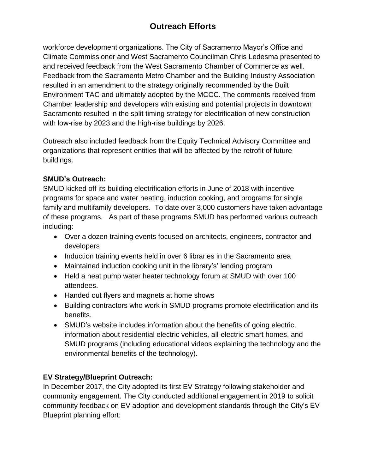# **Outreach Efforts**

workforce development organizations. The City of Sacramento Mayor's Office and Climate Commissioner and West Sacramento Councilman Chris Ledesma presented to and received feedback from the West Sacramento Chamber of Commerce as well. Feedback from the Sacramento Metro Chamber and the Building Industry Association resulted in an amendment to the strategy originally recommended by the Built Environment TAC and ultimately adopted by the MCCC. The comments received from Chamber leadership and developers with existing and potential projects in downtown Sacramento resulted in the split timing strategy for electrification of new construction with low-rise by 2023 and the high-rise buildings by 2026.

Outreach also included feedback from the Equity Technical Advisory Committee and organizations that represent entities that will be affected by the retrofit of future buildings.

## **SMUD's Outreach:**

SMUD kicked off its building electrification efforts in June of 2018 with incentive programs for space and water heating, induction cooking, and programs for single family and multifamily developers. To date over 3,000 customers have taken advantage of these programs. As part of these programs SMUD has performed various outreach including:

- Over a dozen training events focused on architects, engineers, contractor and developers
- Induction training events held in over 6 libraries in the Sacramento area
- Maintained induction cooking unit in the library's' lending program
- Held a heat pump water heater technology forum at SMUD with over 100 attendees.
- Handed out flyers and magnets at home shows
- Building contractors who work in SMUD programs promote electrification and its benefits.
- SMUD's website includes information about the benefits of going electric, information about residential electric vehicles, all-electric smart homes, and SMUD programs (including educational videos explaining the technology and the environmental benefits of the technology).

# **EV Strategy/Blueprint Outreach:**

In December 2017, the City adopted its first EV Strategy following stakeholder and community engagement. The City conducted additional engagement in 2019 to solicit community feedback on EV adoption and development standards through the City's EV Blueprint planning effort: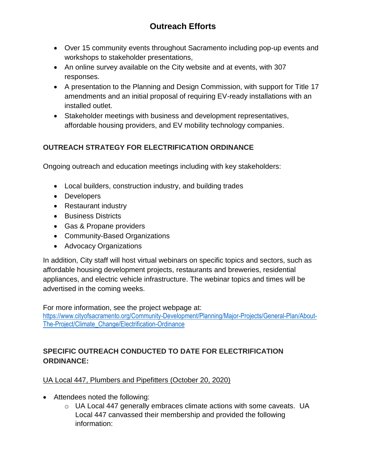- Over 15 community events throughout Sacramento including pop-up events and workshops to stakeholder presentations,
- An online survey available on the City website and at events, with 307 responses.
- A presentation to the Planning and Design Commission, with support for Title 17 amendments and an initial proposal of requiring EV-ready installations with an installed outlet.
- Stakeholder meetings with business and development representatives, affordable housing providers, and EV mobility technology companies.

# **OUTREACH STRATEGY FOR ELECTRIFICATION ORDINANCE**

Ongoing outreach and education meetings including with key stakeholders:

- Local builders, construction industry, and building trades
- Developers
- Restaurant industry
- Business Districts
- Gas & Propane providers
- Community-Based Organizations
- Advocacy Organizations

In addition, City staff will host virtual webinars on specific topics and sectors, such as affordable housing development projects, restaurants and breweries, residential appliances, and electric vehicle infrastructure. The webinar topics and times will be advertised in the coming weeks.

For more information, see the project webpage at: [https://www.cityofsacramento.org/Community-Development/Planning/Major-Projects/General-Plan/About-](https://www.cityofsacramento.org/Community-Development/Planning/Major-Projects/General-Plan/About-The-Project/Climate_Change/Electrification-Ordinance)[The-Project/Climate\\_Change/Electrification-Ordinance](https://www.cityofsacramento.org/Community-Development/Planning/Major-Projects/General-Plan/About-The-Project/Climate_Change/Electrification-Ordinance)

# **SPECIFIC OUTREACH CONDUCTED TO DATE FOR ELECTRIFICATION ORDINANCE:**

## UA Local 447, Plumbers and Pipefitters (October 20, 2020)

- Attendees noted the following:
	- $\circ$  UA Local 447 generally embraces climate actions with some caveats. UA Local 447 canvassed their membership and provided the following information: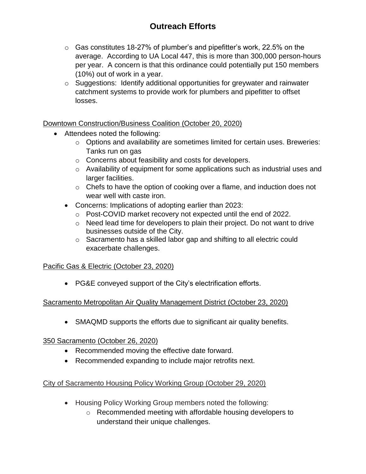- $\circ$  Gas constitutes 18-27% of plumber's and pipefitter's work, 22.5% on the average. According to UA Local 447, this is more than 300,000 person-hours per year. A concern is that this ordinance could potentially put 150 members (10%) out of work in a year.
- o Suggestions: Identify additional opportunities for greywater and rainwater catchment systems to provide work for plumbers and pipefitter to offset losses.

## Downtown Construction/Business Coalition (October 20, 2020)

- Attendees noted the following:
	- o Options and availability are sometimes limited for certain uses. Breweries: Tanks run on gas
	- o Concerns about feasibility and costs for developers.
	- o Availability of equipment for some applications such as industrial uses and larger facilities.
	- o Chefs to have the option of cooking over a flame, and induction does not wear well with caste iron.
	- Concerns: Implications of adopting earlier than 2023:
		- o Post-COVID market recovery not expected until the end of 2022.
		- $\circ$  Need lead time for developers to plain their project. Do not want to drive businesses outside of the City.
		- o Sacramento has a skilled labor gap and shifting to all electric could exacerbate challenges.

### Pacific Gas & Electric (October 23, 2020)

• PG&E conveyed support of the City's electrification efforts.

### Sacramento Metropolitan Air Quality Management District (October 23, 2020)

• SMAQMD supports the efforts due to significant air quality benefits.

### 350 Sacramento (October 26, 2020)

- Recommended moving the effective date forward.
- Recommended expanding to include major retrofits next.

## City of Sacramento Housing Policy Working Group (October 29, 2020)

- Housing Policy Working Group members noted the following:
	- o Recommended meeting with affordable housing developers to understand their unique challenges.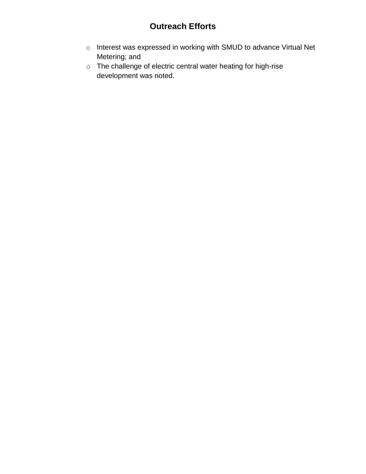# **Outreach Efforts**

- o Interest was expressed in working with SMUD to advance Virtual Net Metering; and
- o The challenge of electric central water heating for high-rise development was noted.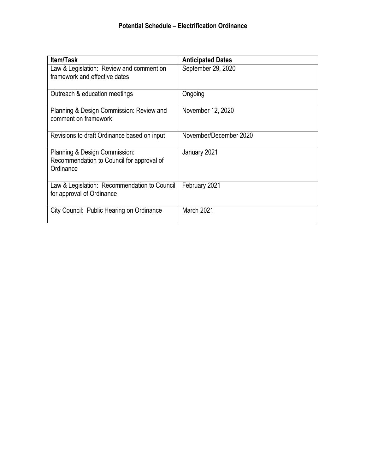| <b>Item/Task</b>                                                                        | <b>Anticipated Dates</b> |
|-----------------------------------------------------------------------------------------|--------------------------|
| Law & Legislation: Review and comment on<br>framework and effective dates               | September 29, 2020       |
| Outreach & education meetings                                                           | Ongoing                  |
| Planning & Design Commission: Review and<br>comment on framework                        | November 12, 2020        |
| Revisions to draft Ordinance based on input                                             | November/December 2020   |
| Planning & Design Commission:<br>Recommendation to Council for approval of<br>Ordinance | January 2021             |
| Law & Legislation: Recommendation to Council<br>for approval of Ordinance               | February 2021            |
| City Council: Public Hearing on Ordinance                                               | March 2021               |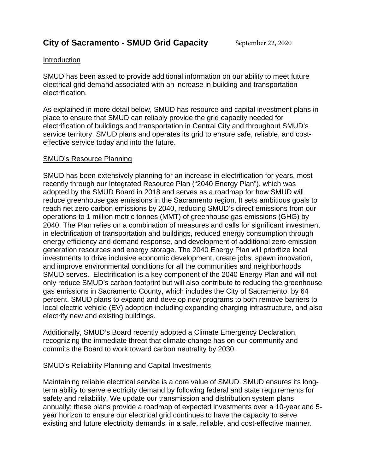#### Introduction

SMUD has been asked to provide additional information on our ability to meet future electrical grid demand associated with an increase in building and transportation electrification.

As explained in more detail below, SMUD has resource and capital investment plans in place to ensure that SMUD can reliably provide the grid capacity needed for electrification of buildings and transportation in Central City and throughout SMUD's service territory. SMUD plans and operates its grid to ensure safe, reliable, and costeffective service today and into the future.

### SMUD's Resource Planning

SMUD has been extensively planning for an increase in electrification for years, most recently through our Integrated Resource Plan ("2040 Energy Plan"), which was adopted by the SMUD Board in 2018 and serves as a roadmap for how SMUD will reduce greenhouse gas emissions in the Sacramento region. It sets ambitious goals to reach net zero carbon emissions by 2040, reducing SMUD's direct emissions from our operations to 1 million metric tonnes (MMT) of greenhouse gas emissions (GHG) by 2040. The Plan relies on a combination of measures and calls for significant investment in electrification of transportation and buildings, reduced energy consumption through energy efficiency and demand response, and development of additional zero-emission generation resources and energy storage. The 2040 Energy Plan will prioritize local investments to drive inclusive economic development, create jobs, spawn innovation, and improve environmental conditions for all the communities and neighborhoods SMUD serves. Electrification is a key component of the 2040 Energy Plan and will not only reduce SMUD's carbon footprint but will also contribute to reducing the greenhouse gas emissions in Sacramento County, which includes the City of Sacramento, by 64 percent. SMUD plans to expand and develop new programs to both remove barriers to local electric vehicle (EV) adoption including expanding charging infrastructure, and also electrify new and existing buildings.

Additionally, SMUD's Board recently adopted a Climate Emergency Declaration, recognizing the immediate threat that climate change has on our community and commits the Board to work toward carbon neutrality by 2030.

### SMUD's Reliability Planning and Capital Investments

Maintaining reliable electrical service is a core value of SMUD. SMUD ensures its longterm ability to serve electricity demand by following federal and state requirements for safety and reliability. We update our transmission and distribution system plans annually; these plans provide a roadmap of expected investments over a 10-year and 5 year horizon to ensure our electrical grid continues to have the capacity to serve existing and future electricity demands in a safe, reliable, and cost-effective manner.